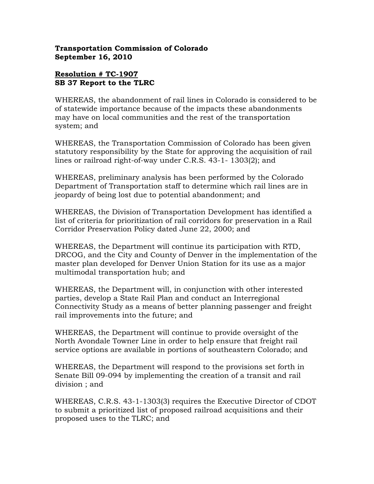## Transportation Commission of Colorado September 16, 2010

## Resolution # TC-1907 SB 37 Report to the TLRC

WHEREAS, the abandonment of rail lines in Colorado is considered to be of statewide importance because of the impacts these abandonments may have on local communities and the rest of the transportation system; and

WHEREAS, the Transportation Commission of Colorado has been given statutory responsibility by the State for approving the acquisition of rail lines or railroad right-of-way under C.R.S. 43-1- 1303(2); and

WHEREAS, preliminary analysis has been performed by the Colorado Department of Transportation staff to determine which rail lines are in jeopardy of being lost due to potential abandonment; and

WHEREAS, the Division of Transportation Development has identified a list of criteria for prioritization of rail corridors for preservation in a Rail Corridor Preservation Policy dated June 22, 2000; and

WHEREAS, the Department will continue its participation with RTD, DRCOG, and the City and County of Denver in the implementation of the master plan developed for Denver Union Station for its use as a major multimodal transportation hub; and

WHEREAS, the Department will, in conjunction with other interested parties, develop a State Rail Plan and conduct an Interregional Connectivity Study as a means of better planning passenger and freight rail improvements into the future; and

WHEREAS, the Department will continue to provide oversight of the North Avondale Towner Line in order to help ensure that freight rail service options are available in portions of southeastern Colorado; and

WHEREAS, the Department will respond to the provisions set forth in Senate Bill 09-094 by implementing the creation of a transit and rail division ; and

WHEREAS, C.R.S. 43-1-1303(3) requires the Executive Director of CDOT to submit a prioritized list of proposed railroad acquisitions and their proposed uses to the TLRC; and